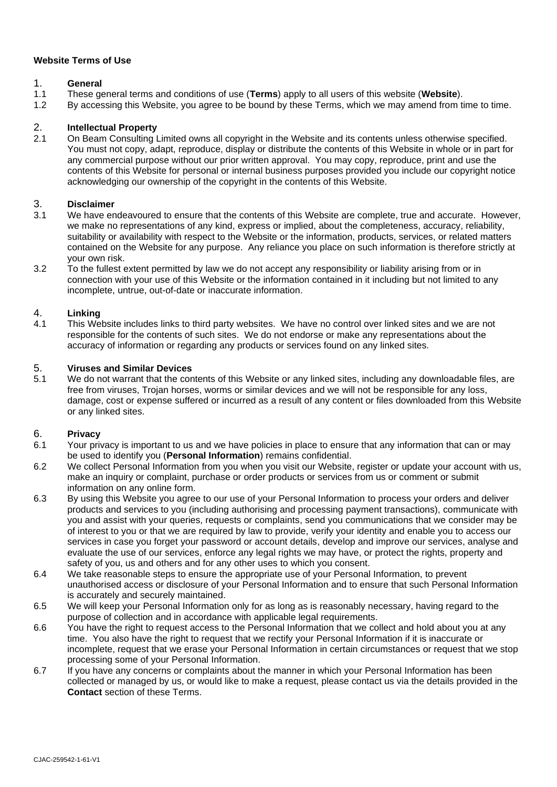### **Website Terms of Use**

- 1. **General**<br>1.1 These as 1.1 These general terms and conditions of use (**Terms**) apply to all users of this website (**Website**).
- 1.2 By accessing this Website, you agree to be bound by these Terms, which we may amend from time to time.

# 2. **Intellectual Property**

2.1 On Beam Consulting Limited owns all copyright in the Website and its contents unless otherwise specified. You must not copy, adapt, reproduce, display or distribute the contents of this Website in whole or in part for any commercial purpose without our prior written approval. You may copy, reproduce, print and use the contents of this Website for personal or internal business purposes provided you include our copyright notice acknowledging our ownership of the copyright in the contents of this Website.

#### 3. **Disclaimer**

- 3.1 We have endeavoured to ensure that the contents of this Website are complete, true and accurate. However, we make no representations of any kind, express or implied, about the completeness, accuracy, reliability, suitability or availability with respect to the Website or the information, products, services, or related matters contained on the Website for any purpose. Any reliance you place on such information is therefore strictly at your own risk.
- 3.2 To the fullest extent permitted by law we do not accept any responsibility or liability arising from or in connection with your use of this Website or the information contained in it including but not limited to any incomplete, untrue, out-of-date or inaccurate information.

### 4. **Linking**

This Website includes links to third party websites. We have no control over linked sites and we are not responsible for the contents of such sites. We do not endorse or make any representations about the accuracy of information or regarding any products or services found on any linked sites.

### 5. **Viruses and Similar Devices**

5.1 We do not warrant that the contents of this Website or any linked sites, including any downloadable files, are free from viruses, Trojan horses, worms or similar devices and we will not be responsible for any loss, damage, cost or expense suffered or incurred as a result of any content or files downloaded from this Website or any linked sites.

#### 6. **Privacy**

- 6.1 Your privacy is important to us and we have policies in place to ensure that any information that can or may be used to identify you (**Personal Information**) remains confidential.
- 6.2 We collect Personal Information from you when you visit our Website, register or update your account with us, make an inquiry or complaint, purchase or order products or services from us or comment or submit information on any online form.
- 6.3 By using this Website you agree to our use of your Personal Information to process your orders and deliver products and services to you (including authorising and processing payment transactions), communicate with you and assist with your queries, requests or complaints, send you communications that we consider may be of interest to you or that we are required by law to provide, verify your identity and enable you to access our services in case you forget your password or account details, develop and improve our services, analyse and evaluate the use of our services, enforce any legal rights we may have, or protect the rights, property and safety of you, us and others and for any other uses to which you consent.
- 6.4 We take reasonable steps to ensure the appropriate use of your Personal Information, to prevent unauthorised access or disclosure of your Personal Information and to ensure that such Personal Information is accurately and securely maintained.
- 6.5 We will keep your Personal Information only for as long as is reasonably necessary, having regard to the purpose of collection and in accordance with applicable legal requirements.
- 6.6 You have the right to request access to the Personal Information that we collect and hold about you at any time. You also have the right to request that we rectify your Personal Information if it is inaccurate or incomplete, request that we erase your Personal Information in certain circumstances or request that we stop processing some of your Personal Information.
- 6.7 If you have any concerns or complaints about the manner in which your Personal Information has been collected or managed by us, or would like to make a request, please contact us via the details provided in the **Contact** section of these Terms.